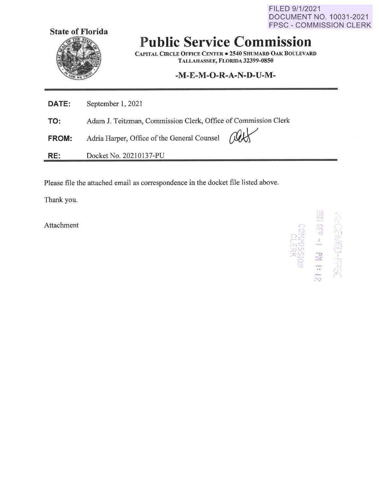FILED 9/1/2021 DOCUMENT NO. 10031-2021 FPSC - COMMISSION CLERK



# **Public Service Commission**

**CAPITAL CIRCLE OFFICE CENTER • 2540 SHUMARD OAK BOULEVARD TALLAHASSEE, FLORIDA 32399-0850** 

# **-M-E-M-0-R-A-N-D-U-M-**

| DATE:        | September 1, 2021                                              |  |
|--------------|----------------------------------------------------------------|--|
| TO:          | Adam J. Teitzman, Commission Clerk, Office of Commission Clerk |  |
| <b>FROM:</b> | Adria Harper, Office of the General Counsel All                |  |
| RE:          | Docket No. 20210137-PU                                         |  |

Please file the attached email as correspondence in the docket file listed above.

Thank you.

Attachment

10<br>
NAFIRS<br>
1-10<br>
1-10<br>
1-10<br>
1-10<br>
1-10<br>
1-10<br>
1-10<br>
1-10<br>
1-10<br>
1-10<br>
1-10<br>
1-10<br>
1-10<br>
1-10<br>
1-10<br>
1-10<br>
1-10<br>
1-10<br>
1-10<br>
1-10<br>
1-10<br>
1-10<br>
1-10<br>
1-10<br>
1-10<br>
1-10<br>
1-10<br>
1-10<br>
1-10<br>
1-10<br>
1-10<br>
1-10<br>
1-10<br>  $\sum_{i=1}^{n}$  $,$ ·-~ ,,.,., ".I) "i1 *·o*  I **-** $\Xi$ <sup>I</sup>& i ,- \ ,, I ~ . • I *l)*  ,.. *,-:,* 

 $\mathcal{L}$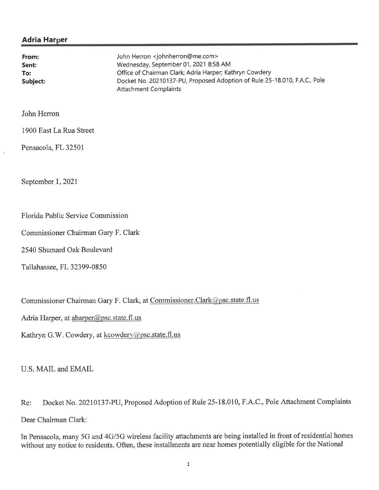## **Adria Harper**

| From:    | John Herron <johnherron@me.com></johnherron@me.com>                       |
|----------|---------------------------------------------------------------------------|
| Sent:    | Wednesday, September 01, 2021 8:58 AM                                     |
| To:      | Office of Chairman Clark; Adria Harper; Kathryn Cowdery                   |
| Subject: | Docket No. 20210137-PU, Proposed Adoption of Rule 25-18.010, F.A.C., Pole |
|          | Attachment Complaints                                                     |

### John Herron

1900 East La Rua Street

Pensacola, FL 32501

September 1, 2021

#### Florida Public Service Commission

Commissioner Chairman Gary F. Clark

2540 Shumard Oak Boulevard

Tallahassee, FL 32399-0850

Commissioner Chairman Gary F. Clark, at Commissioner.Clark@psc.state.fl.us

Adria Harper, at aharper@psc.state.fl.us

Kathryn G.W. Cowdery, at kcowdery@psc.state.fl.us

U.S. MAIL and EMAIL

Re: Docket No. 20210137-PU, Proposed Adoption of Rule 25-18.010, F.A.C., Pole Attachment Complaints Dear Chairman Clark:

In Pensacola, many 5G and 4G/5G wireless facility attachments are being installed in front of residential homes without any notice to residents. Often, these installments are near homes potentially eligible for the National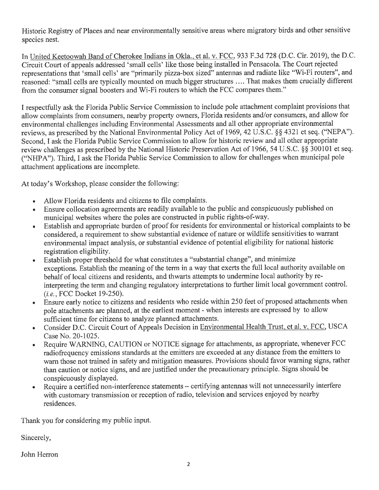Historic Registry of Places and near environmentally sensitive areas where migratory birds and other sensitive species nest.

In United Keetoowah Band of Cherokee Indians in Okla., et al. v. FCC, 933 F.3d 728 (D.C. Cir. 2019), the D.C. Circuit Court of appeals addressed 'small cells' like those being installed in Pensacola. The Court rejected representations that 'small cells' are "primarily pizza-box sized" antennas and radiate like "Wi-Fi routers", and reasoned: "small cells are typically mounted on much bigger structures .... That makes them crucially different from the consumer signal boosters and Wi-Fi routers to which the FCC compares them."

I respectfully ask the Florida Public Service Commission to include pole attachment complaint provisions that allow complaints from consumers, nearby property owners, Florida residents and/or consumers, and allow for environmental challenges including Environmental Assessments and all other appropriate environmental reviews, as prescribed by the National Environmental Policy Act of 1969, 42 U.S.C. *§§* 4321 et seq. (''NEPA"). Second, I ask the Florida Public Service Commission to allow for historic review and all other appropriate review challenges as prescribed by the National Historic Preservation Act of 1966, 54 U.S.C. §§ 300101 et seq. ("NHPA"). Third, I ask the Florida Public Service Commission to allow for challenges when municipal pole attachment applications are incomplete.

At today's Workshop, please consider the following:

- Allow Florida residents and citizens to file complaints.
- Ensure collocation agreements are readily available to the public and conspicuously published on municipal websites where the poles are constructed in public rights-of-way.
- Establish and appropriate burden of proof for residents for environmental or historical complaints to be considered, a requirement to show substantial evidence of nature or wildlife sensitivities to warrant environmental impact analysis, or substantial evidence of potential eligibility for national historic registration eligibility.
- Establish proper threshold for what constitutes a "substantial change", and minimize exceptions. Establish the meaning of the term in a way that exerts the full local authority available on behalf of local citizens and residents, and thwarts attempts to undermine local authority by reinterpreting the term and changing regulatory interpretations to further limit local government control. *(i.e.,* FCC Docket 19-250).
- Ensure early notice to citizens and residents who reside within 250 feet of proposed attachments when pole attachments are planned, at the earliest moment - when interests are expressed by to allow sufficient time for citizens to analyze planned attachments.
- Consider D.C. Circuit Court of Appeals Decision in Environmental Health Trust, et al. v. FCC, USCA Case No. 20-1025.
- Require WARNING, CAUTION or NOTICE signage for attachments, as appropriate, whenever FCC radiofrequency emissions standards at the emitters are exceeded at any distance from the emitters to warn those not trained in safety and mitigation measures. Provisions should favor warning signs, rather than caution or notice signs, and are justified under the precautionary principle. Signs should be conspicuously displayed.
- Require a certified non-interference statements certifying antennas will not unnecessarily interfere with customary transmission or reception of radio, television and services enjoyed by nearby residences.

Thank you for considering my public input.

Sincerely,

John Herron